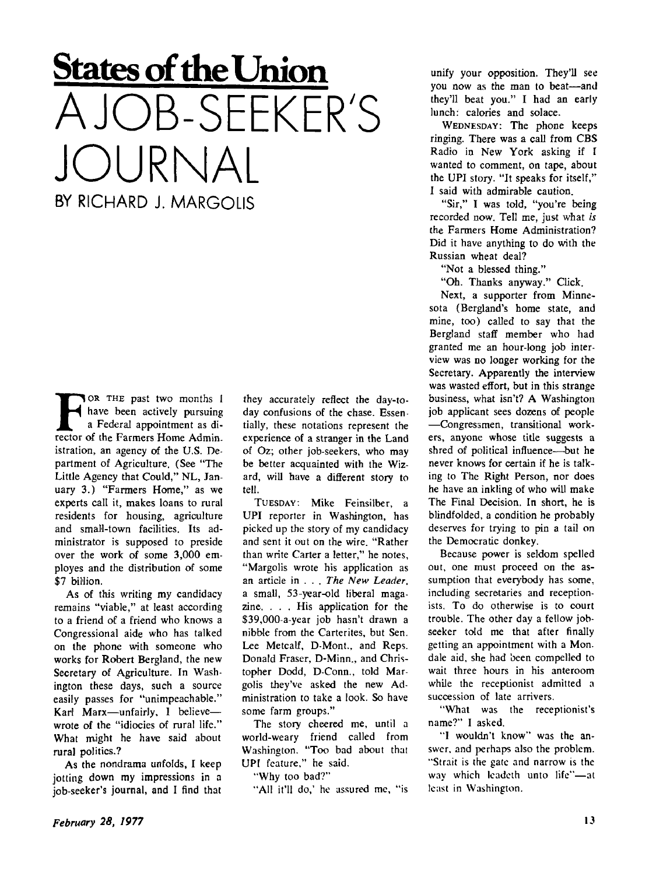## **States of the Union AJOB-SEEKER'S JOURNAL**

BY RICHARD J. MARGOLIS

FOR THE past two months I have been actively pursuing a Federal appointment as director of the Farmers Home Admin. YOR THE past two months I have been actively pursuing a Federal appointment as diistration, an agency of the U.S. Department of Agriculture. (See "The Little Agency that Could," NL, January 3.) "Farmers Home," as we experts call it, makes loans to rural residents for housing, agriculture and small-town facilities. Its administrator is supposed to preside over the work of some 3,000 employes and the distribution of some \$7 billion.

As of this writing my candidacy remains "viable," at least according to a friend of a friend who knows a Congressional aide who has talked on the phone with someone who works for Robert Bergland, the new Secretary of Agriculture. In Washington these days, such a source easily passes for "unimpeachable." Karl Marx—unfairly, 1 believe wrote of the "idiocies of rural life." What might he have said about rural politics.?

As the nondrama unfolds, I keep jotting down my impressions in a job-seeker's journal, and I find that they accurately reflect the day-today confusions of the chase. Essentially, these notations represent the experience of a stranger in the Land of Oz; other job-seekers, who may be better acquainted with the Wizard, will have a different story to tell.

TUESDAY: Mike Feinsilber, a UPI reporter in Washington, has picked up the story of my candidacy and sent it out on the wire. "Rather than write Carter a letter," he notes, "Margolis wrote his application as an article in . . . *The New Leader,*  a small, 53-year-old liberal magazine. . . . His application for the \$39,000-a-year job hasn't drawn a nibble from the Carterites, but Sen. Lee Metcalf, D-Mont., and Reps. Donald Fraser, D-Minn., and Christopher Dodd, D-Conn., told Margolis they've asked the new Administration to take a look. So have some farm groups."

The story cheered me, until a world-weary friend called from Washington. "Too bad about that UPI feature," he said.

"Why too bad?"

"All it'll do,' he assured me, "is

unify your opposition. They'll see you now as the man to beat—and they'll beat you." I had an early lunch: calories and solace.

WEDNESDAY: The phone keeps ringing. There was a call from CBS Radio in New York asking if I wanted to comment, on tape, about the UPI story. "It speaks for itself," I said with admirable caution.

"Sir," I was told, "you're being recorded now. Tell me, just what *is*  the Farmers Home Administration? Did it have anything to do with the Russian wheat deal?

"Not a blessed thing."

"Oh. Thanks anyway." Click.

Next, a supporter from Minnesota (Bergland's home state, and mine, too) called to say that the Bergland staff member who had granted me an hour-long job interview was no longer working for the Secretary. Apparently the interview was wasted effort, but in this strange business, what isn't? A Washington job applicant sees dozens of people —Congressmen, transitional workers, anyone whose title suggests a shred of political influence—but he never knows for certain if he is talking to The Right Person, nor does he have an inkling of who will make The Final Decision. In short, he is blindfolded, a condition he probably deserves for trying to pin a tail on the Democratic donkey.

Because power is seldom spelled out, one must proceed on the assumption that everybody has some, including secretaries and receptionists. To do otherwise is to court trouble. The other day a fellow jobseeker told me that after finally getting an appointment with a Mon. dale aid, she had been compelled to wait three hours in his anteroom while the receptionist admitted a succession of late arrivers.

"What was the receptionist's name?" I asked.

"I wouldn't know" was the answer, and perhaps also the problem. "Strait is the gate and narrow is the way which Icadeth unto life"—at least in Washington.